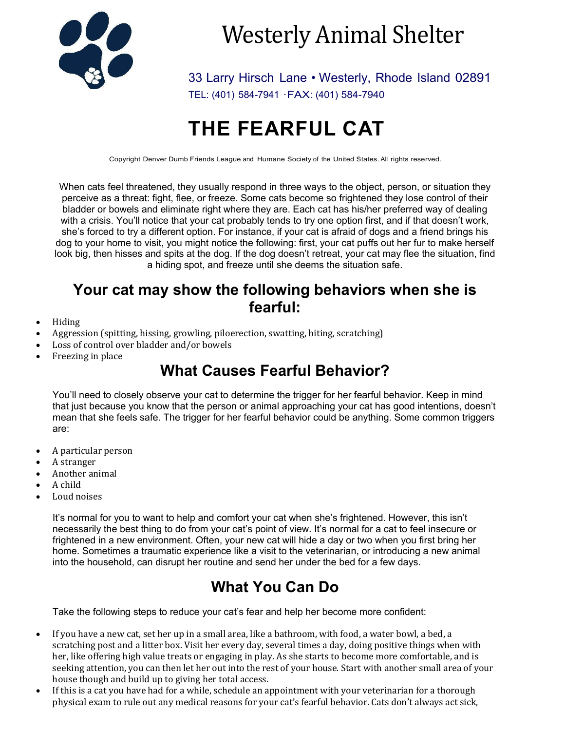

# Westerly Animal Shelter

33 Larry Hirsch Lane • Westerly, Rhode Island 02891 TEL: (401) 584-7941 ·FAX: (401) 584-7940

# **THE FEARFUL CAT**

Copyright Denver Dumb Friends League and Humane Society of the United States. All rights reserved.

When cats feel threatened, they usually respond in three ways to the object, person, or situation they perceive as a threat: fight, flee, or freeze. Some cats become so frightened they lose control of their bladder or bowels and eliminate right where they are. Each cat has his/her preferred way of dealing with a crisis. You'll notice that your cat probably tends to try one option first, and if that doesn't work, she's forced to try a different option. For instance, if your cat is afraid of dogs and a friend brings his dog to your home to visit, you might notice the following: first, your cat puffs out her fur to make herself look big, then hisses and spits at the dog. If the dog doesn't retreat, your cat may flee the situation, find a hiding spot, and freeze until she deems the situation safe.

#### **Your cat may show the following behaviors when she is fearful:**

- Hiding
- Aggression (spitting, hissing, growling, piloerection, swatting, biting, scratching)
- Loss of control over bladder and/or bowels
- Freezing in place

# **What Causes Fearful Behavior?**

You'll need to closely observe your cat to determine the trigger for her fearful behavior. Keep in mind that just because you know that the person or animal approaching your cat has good intentions, doesn't mean that she feels safe. The trigger for her fearful behavior could be anything. Some common triggers are:

- A particular person
- A stranger
- Another animal
- A child
- Loud noises

It's normal for you to want to help and comfort your cat when she's frightened. However, this isn't necessarily the best thing to do from your cat's point of view. It's normal for a cat to feel insecure or frightened in a new environment. Often, your new cat will hide a day or two when you first bring her home. Sometimes a traumatic experience like a visit to the veterinarian, or introducing a new animal into the household, can disrupt her routine and send her under the bed for a few days.

# **What You Can Do**

Take the following steps to reduce your cat's fear and help her become more confident:

- If you have a new cat, set her up in a small area, like a bathroom, with food, a water bowl, a bed, a scratching post and a litter box. Visit her every day, several times a day, doing positive things when with her, like offering high value treats or engaging in play. As she starts to become more comfortable, and is seeking attention, you can then let her out into the rest of your house. Start with another small area of your house though and build up to giving her total access.
- If this is a cat you have had for a while, schedule an appointment with your veterinarian for a thorough physical exam to rule out any medical reasons for your cat's fearful behavior. Cats don't always act sick,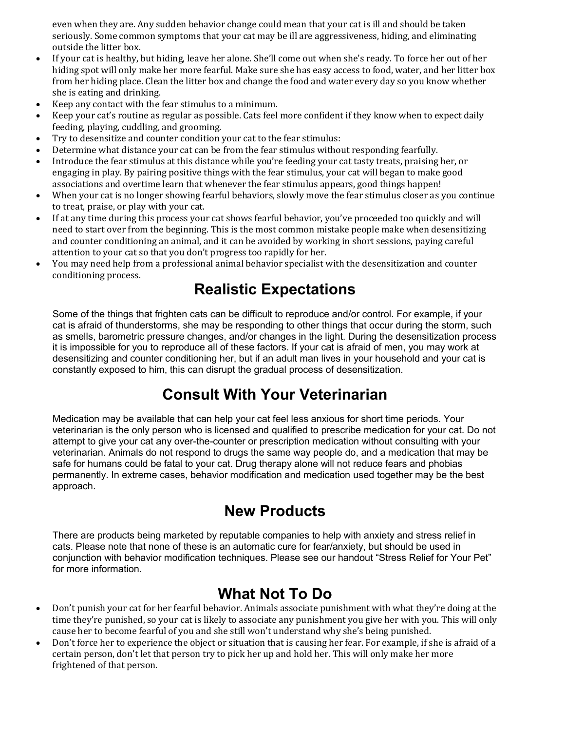even when they are. Any sudden behavior change could mean that your cat is ill and should be taken seriously. Some common symptoms that your cat may be ill are aggressiveness, hiding, and eliminating outside the litter box.

- If your cat is healthy, but hiding, leave her alone. She'll come out when she's ready. To force her out of her hiding spot will only make her more fearful. Make sure she has easy access to food, water, and her litter box from her hiding place. Clean the litter box and change the food and water every day so you know whether she is eating and drinking.
- Keep any contact with the fear stimulus to a minimum.
- Keep your cat's routine as regular as possible. Cats feel more confident if they know when to expect daily feeding, playing, cuddling, and grooming.
- Try to desensitize and counter condition your cat to the fear stimulus:
- Determine what distance your cat can be from the fear stimulus without responding fearfully.
- Introduce the fear stimulus at this distance while you're feeding your cat tasty treats, praising her, or engaging in play. By pairing positive things with the fear stimulus, your cat will began to make good associations and overtime learn that whenever the fear stimulus appears, good things happen!
- When your cat is no longer showing fearful behaviors, slowly move the fear stimulus closer as you continue to treat, praise, or play with your cat.
- If at any time during this process your cat shows fearful behavior, you've proceeded too quickly and will need to start over from the beginning. This is the most common mistake people make when desensitizing and counter conditioning an animal, and it can be avoided by working in short sessions, paying careful attention to your cat so that you don't progress too rapidly for her.
- You may need help from a professional animal behavior specialist with the desensitization and counter conditioning process.

#### **Realistic Expectations**

Some of the things that frighten cats can be difficult to reproduce and/or control. For example, if your cat is afraid of thunderstorms, she may be responding to other things that occur during the storm, such as smells, barometric pressure changes, and/or changes in the light. During the desensitization process it is impossible for you to reproduce all of these factors. If your cat is afraid of men, you may work at desensitizing and counter conditioning her, but if an adult man lives in your household and your cat is constantly exposed to him, this can disrupt the gradual process of desensitization.

#### **Consult With Your Veterinarian**

Medication may be available that can help your cat feel less anxious for short time periods. Your veterinarian is the only person who is licensed and qualified to prescribe medication for your cat. Do not attempt to give your cat any over-the-counter or prescription medication without consulting with your veterinarian. Animals do not respond to drugs the same way people do, and a medication that may be safe for humans could be fatal to your cat. Drug therapy alone will not reduce fears and phobias permanently. In extreme cases, behavior modification and medication used together may be the best approach.

#### **New Products**

There are products being marketed by reputable companies to help with anxiety and stress relief in cats. Please note that none of these is an automatic cure for fear/anxiety, but should be used in conjunction with behavior modification techniques. Please see our handout "Stress Relief for Your Pet" for more information.

# **What Not To Do**

- Don't punish your cat for her fearful behavior. Animals associate punishment with what they're doing at the time they're punished, so your cat is likely to associate any punishment you give her with you. This will only cause her to become fearful of you and she still won't understand why she's being punished.
- Don't force her to experience the object or situation that is causing her fear. For example, if she is afraid of a certain person, don't let that person try to pick her up and hold her. This will only make her more frightened of that person.